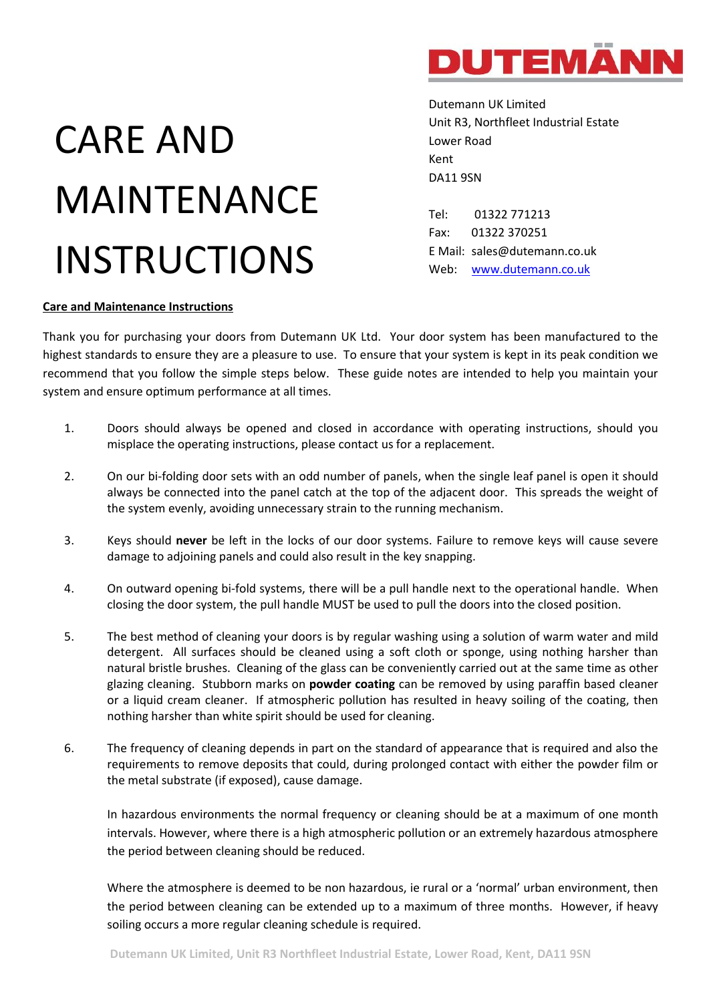

## CARE AND MAINTENANCE INSTRUCTIONS

Dutemann UK Limited Unit R3, Northfleet Industrial Estate Lower Road Kent DA11 9SN

Tel: 01322 771213 Fax: 01322 370251 E Mail: sales@dutemann.co.uk Web: [www.dutemann.co.uk](http://www.dutemann.co.uk/)

## **Care and Maintenance Instructions**

Thank you for purchasing your doors from Dutemann UK Ltd. Your door system has been manufactured to the highest standards to ensure they are a pleasure to use. To ensure that your system is kept in its peak condition we recommend that you follow the simple steps below. These guide notes are intended to help you maintain your system and ensure optimum performance at all times.

- 1. Doors should always be opened and closed in accordance with operating instructions, should you misplace the operating instructions, please contact us for a replacement.
- 2. On our bi-folding door sets with an odd number of panels, when the single leaf panel is open it should always be connected into the panel catch at the top of the adjacent door. This spreads the weight of the system evenly, avoiding unnecessary strain to the running mechanism.
- 3. Keys should **never** be left in the locks of our door systems. Failure to remove keys will cause severe damage to adjoining panels and could also result in the key snapping.
- 4. On outward opening bi-fold systems, there will be a pull handle next to the operational handle. When closing the door system, the pull handle MUST be used to pull the doors into the closed position.
- 5. The best method of cleaning your doors is by regular washing using a solution of warm water and mild detergent. All surfaces should be cleaned using a soft cloth or sponge, using nothing harsher than natural bristle brushes. Cleaning of the glass can be conveniently carried out at the same time as other glazing cleaning. Stubborn marks on **powder coating** can be removed by using paraffin based cleaner or a liquid cream cleaner. If atmospheric pollution has resulted in heavy soiling of the coating, then nothing harsher than white spirit should be used for cleaning.
- 6. The frequency of cleaning depends in part on the standard of appearance that is required and also the requirements to remove deposits that could, during prolonged contact with either the powder film or the metal substrate (if exposed), cause damage.

In hazardous environments the normal frequency or cleaning should be at a maximum of one month intervals. However, where there is a high atmospheric pollution or an extremely hazardous atmosphere the period between cleaning should be reduced.

Where the atmosphere is deemed to be non hazardous, ie rural or a 'normal' urban environment, then the period between cleaning can be extended up to a maximum of three months. However, if heavy soiling occurs a more regular cleaning schedule is required.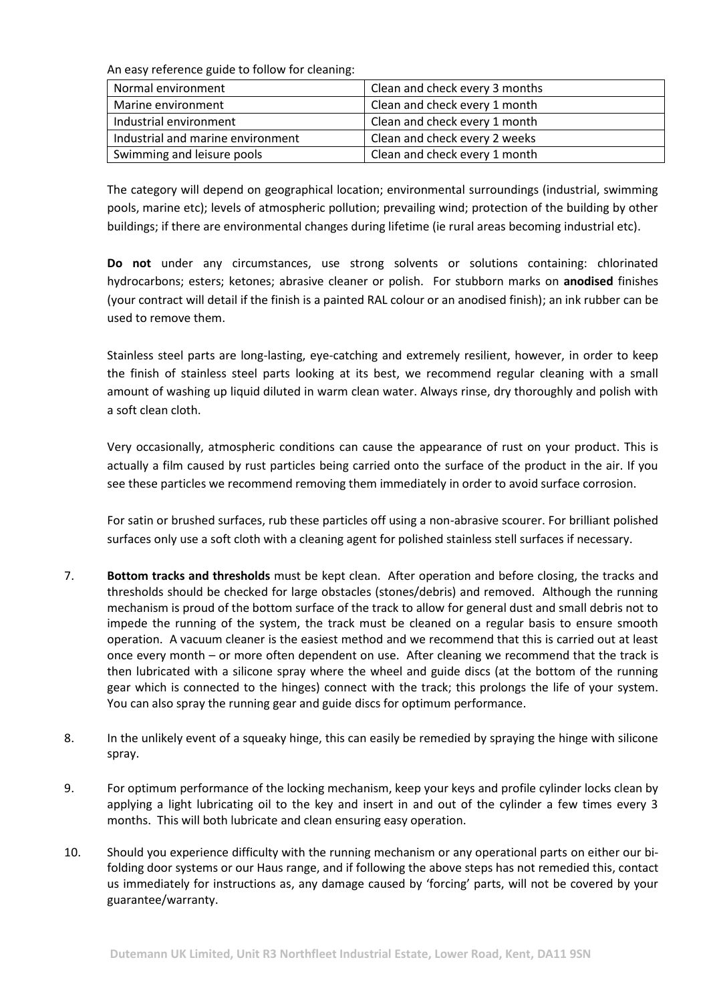An easy reference guide to follow for cleaning:

| Normal environment                | Clean and check every 3 months |
|-----------------------------------|--------------------------------|
| Marine environment                | Clean and check every 1 month  |
| Industrial environment            | Clean and check every 1 month  |
| Industrial and marine environment | Clean and check every 2 weeks  |
| Swimming and leisure pools        | Clean and check every 1 month  |

The category will depend on geographical location; environmental surroundings (industrial, swimming pools, marine etc); levels of atmospheric pollution; prevailing wind; protection of the building by other buildings; if there are environmental changes during lifetime (ie rural areas becoming industrial etc).

**Do not** under any circumstances, use strong solvents or solutions containing: chlorinated hydrocarbons; esters; ketones; abrasive cleaner or polish. For stubborn marks on **anodised** finishes (your contract will detail if the finish is a painted RAL colour or an anodised finish); an ink rubber can be used to remove them.

Stainless steel parts are long-lasting, eye-catching and extremely resilient, however, in order to keep the finish of stainless steel parts looking at its best, we recommend regular cleaning with a small amount of washing up liquid diluted in warm clean water. Always rinse, dry thoroughly and polish with a soft clean cloth.

Very occasionally, atmospheric conditions can cause the appearance of rust on your product. This is actually a film caused by rust particles being carried onto the surface of the product in the air. If you see these particles we recommend removing them immediately in order to avoid surface corrosion.

For satin or brushed surfaces, rub these particles off using a non-abrasive scourer. For brilliant polished surfaces only use a soft cloth with a cleaning agent for polished stainless stell surfaces if necessary.

- 7. **Bottom tracks and thresholds** must be kept clean. After operation and before closing, the tracks and thresholds should be checked for large obstacles (stones/debris) and removed. Although the running mechanism is proud of the bottom surface of the track to allow for general dust and small debris not to impede the running of the system, the track must be cleaned on a regular basis to ensure smooth operation. A vacuum cleaner is the easiest method and we recommend that this is carried out at least once every month – or more often dependent on use. After cleaning we recommend that the track is then lubricated with a silicone spray where the wheel and guide discs (at the bottom of the running gear which is connected to the hinges) connect with the track; this prolongs the life of your system. You can also spray the running gear and guide discs for optimum performance.
- 8. In the unlikely event of a squeaky hinge, this can easily be remedied by spraying the hinge with silicone spray.
- 9. For optimum performance of the locking mechanism, keep your keys and profile cylinder locks clean by applying a light lubricating oil to the key and insert in and out of the cylinder a few times every 3 months. This will both lubricate and clean ensuring easy operation.
- 10. Should you experience difficulty with the running mechanism or any operational parts on either our bifolding door systems or our Haus range, and if following the above steps has not remedied this, contact us immediately for instructions as, any damage caused by 'forcing' parts, will not be covered by your guarantee/warranty.